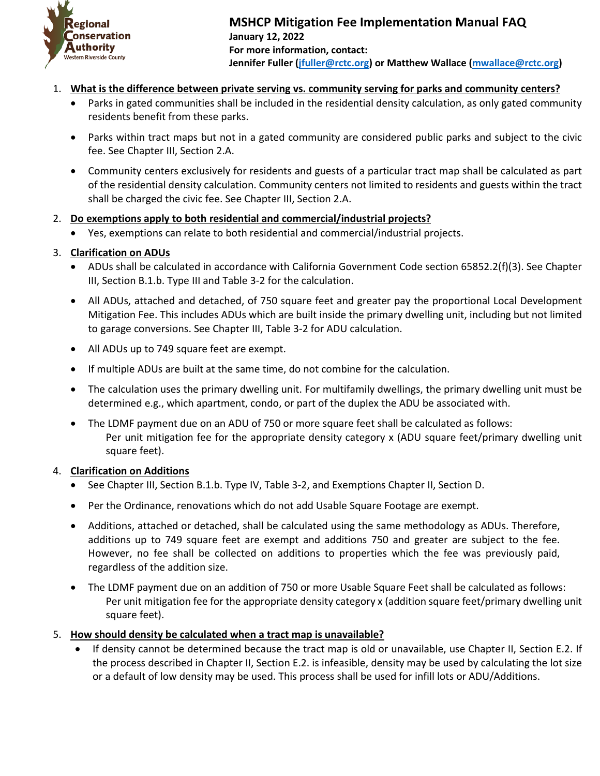

## 1. **What is the difference between private serving vs. community serving for parks and community centers?**

- Parks in gated communities shall be included in the residential density calculation, as only gated community residents benefit from these parks.
- Parks within tract maps but not in a gated community are considered public parks and subject to the civic fee. See Chapter III, Section 2.A.
- Community centers exclusively for residents and guests of a particular tract map shall be calculated as part of the residential density calculation. Community centers not limited to residents and guests within the tract shall be charged the civic fee. See Chapter III, Section 2.A.

#### 2. **Do exemptions apply to both residential and commercial/industrial projects?**

• Yes, exemptions can relate to both residential and commercial/industrial projects.

## 3. **Clarification on ADUs**

- ADUs shall be calculated in accordance with California Government Code section 65852.2(f)(3). See Chapter III, Section B.1.b. Type III and Table 3-2 for the calculation.
- All ADUs, attached and detached, of 750 square feet and greater pay the proportional Local Development Mitigation Fee. This includes ADUs which are built inside the primary dwelling unit, including but not limited to garage conversions. See Chapter III, Table 3-2 for ADU calculation.
- All ADUs up to 749 square feet are exempt.
- If multiple ADUs are built at the same time, do not combine for the calculation.
- The calculation uses the primary dwelling unit. For multifamily dwellings, the primary dwelling unit must be determined e.g., which apartment, condo, or part of the duplex the ADU be associated with.
- The LDMF payment due on an ADU of 750 or more square feet shall be calculated as follows: Per unit mitigation fee for the appropriate density category x (ADU square feet/primary dwelling unit square feet).

#### 4. **Clarification on Additions**

- See Chapter III, Section B.1.b. Type IV, Table 3-2, and Exemptions Chapter II, Section D.
- Per the Ordinance, renovations which do not add Usable Square Footage are exempt.
- Additions, attached or detached, shall be calculated using the same methodology as ADUs. Therefore, additions up to 749 square feet are exempt and additions 750 and greater are subject to the fee. However, no fee shall be collected on additions to properties which the fee was previously paid, regardless of the addition size.
- The LDMF payment due on an addition of 750 or more Usable Square Feet shall be calculated as follows: Per unit mitigation fee for the appropriate density category x (addition square feet/primary dwelling unit square feet).

#### 5. **How should density be calculated when a tract map is unavailable?**

• If density cannot be determined because the tract map is old or unavailable, use Chapter II, Section E.2. If the process described in Chapter II, Section E.2. is infeasible, density may be used by calculating the lot size or a default of low density may be used. This process shall be used for infill lots or ADU/Additions.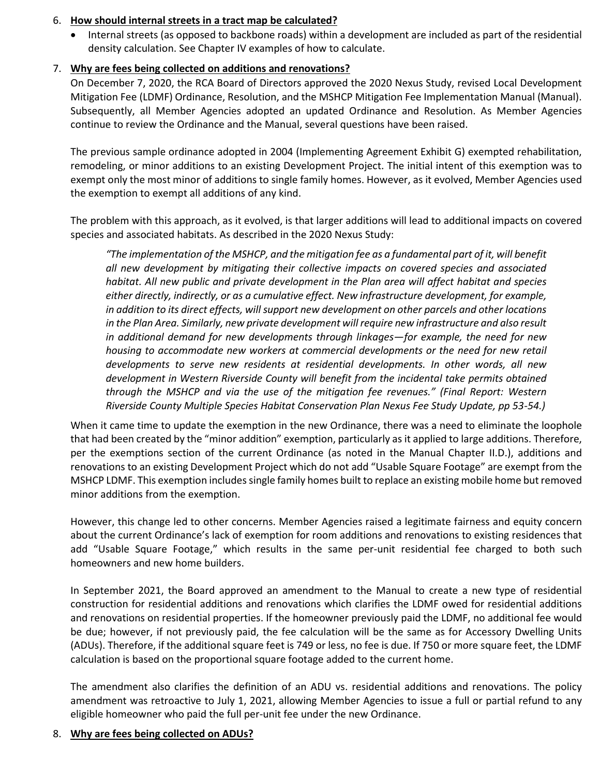#### 6. **How should internal streets in a tract map be calculated?**

• Internal streets (as opposed to backbone roads) within a development are included as part of the residential density calculation. See Chapter IV examples of how to calculate.

## 7. **Why are fees being collected on additions and renovations?**

On December 7, 2020, the RCA Board of Directors approved the 2020 Nexus Study, revised Local Development Mitigation Fee (LDMF) Ordinance, Resolution, and the MSHCP Mitigation Fee Implementation Manual (Manual). Subsequently, all Member Agencies adopted an updated Ordinance and Resolution. As Member Agencies continue to review the Ordinance and the Manual, several questions have been raised.

The previous sample ordinance adopted in 2004 (Implementing Agreement Exhibit G) exempted rehabilitation, remodeling, or minor additions to an existing Development Project. The initial intent of this exemption was to exempt only the most minor of additions to single family homes. However, as it evolved, Member Agencies used the exemption to exempt all additions of any kind.

The problem with this approach, as it evolved, is that larger additions will lead to additional impacts on covered species and associated habitats. As described in the 2020 Nexus Study:

*"The implementation of the MSHCP, and the mitigation fee as a fundamental part of it, will benefit all new development by mitigating their collective impacts on covered species and associated habitat. All new public and private development in the Plan area will affect habitat and species either directly, indirectly, or as a cumulative effect. New infrastructure development, for example, in addition to its direct effects, will support new development on other parcels and other locations in the Plan Area. Similarly, new private development will require new infrastructure and also result in additional demand for new developments through linkages—for example, the need for new housing to accommodate new workers at commercial developments or the need for new retail developments to serve new residents at residential developments. In other words, all new development in Western Riverside County will benefit from the incidental take permits obtained through the MSHCP and via the use of the mitigation fee revenues." (Final Report: Western Riverside County Multiple Species Habitat Conservation Plan Nexus Fee Study Update, pp 53-54.)*

When it came time to update the exemption in the new Ordinance, there was a need to eliminate the loophole that had been created by the "minor addition" exemption, particularly as it applied to large additions. Therefore, per the exemptions section of the current Ordinance (as noted in the Manual Chapter II.D.), additions and renovations to an existing Development Project which do not add "Usable Square Footage" are exempt from the MSHCP LDMF. This exemption includes single family homes built to replace an existing mobile home but removed minor additions from the exemption.

However, this change led to other concerns. Member Agencies raised a legitimate fairness and equity concern about the current Ordinance's lack of exemption for room additions and renovations to existing residences that add "Usable Square Footage," which results in the same per-unit residential fee charged to both such homeowners and new home builders.

In September 2021, the Board approved an amendment to the Manual to create a new type of residential construction for residential additions and renovations which clarifies the LDMF owed for residential additions and renovations on residential properties. If the homeowner previously paid the LDMF, no additional fee would be due; however, if not previously paid, the fee calculation will be the same as for Accessory Dwelling Units (ADUs). Therefore, if the additional square feet is 749 or less, no fee is due. If 750 or more square feet, the LDMF calculation is based on the proportional square footage added to the current home.

The amendment also clarifies the definition of an ADU vs. residential additions and renovations. The policy amendment was retroactive to July 1, 2021, allowing Member Agencies to issue a full or partial refund to any eligible homeowner who paid the full per-unit fee under the new Ordinance.

# 8. **Why are fees being collected on ADUs?**